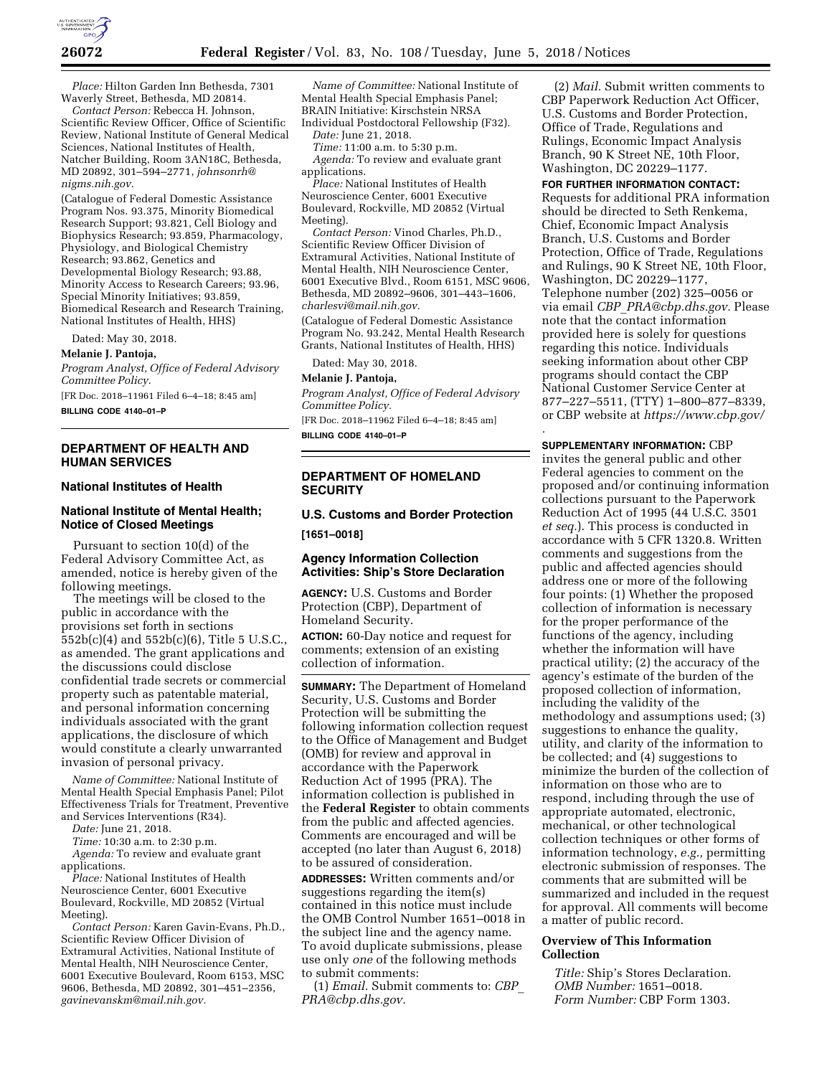

*Place:* Hilton Garden Inn Bethesda, 7301 Waverly Street, Bethesda, MD 20814.

*Contact Person:* Rebecca H. Johnson, Scientific Review Officer, Office of Scientific Review, National Institute of General Medical Sciences, National Institutes of Health, Natcher Building, Room 3AN18C, Bethesda, MD 20892, 301–594–2771, *[johnsonrh@](mailto:johnsonrh@nigms.nih.gov) [nigms.nih.gov.](mailto:johnsonrh@nigms.nih.gov)* 

(Catalogue of Federal Domestic Assistance Program Nos. 93.375, Minority Biomedical Research Support; 93.821, Cell Biology and Biophysics Research; 93.859, Pharmacology, Physiology, and Biological Chemistry Research; 93.862, Genetics and Developmental Biology Research; 93.88, Minority Access to Research Careers; 93.96, Special Minority Initiatives; 93.859, Biomedical Research and Research Training, National Institutes of Health, HHS)

Dated: May 30, 2018.

### **Melanie J. Pantoja,**

*Program Analyst, Office of Federal Advisory Committee Policy.* 

[FR Doc. 2018–11961 Filed 6–4–18; 8:45 am]

**BILLING CODE 4140–01–P** 

## **DEPARTMENT OF HEALTH AND HUMAN SERVICES**

### **National Institutes of Health**

### **National Institute of Mental Health; Notice of Closed Meetings**

Pursuant to section 10(d) of the Federal Advisory Committee Act, as amended, notice is hereby given of the following meetings.

The meetings will be closed to the public in accordance with the provisions set forth in sections 552b(c)(4) and 552b(c)(6), Title 5 U.S.C., as amended. The grant applications and the discussions could disclose confidential trade secrets or commercial property such as patentable material, and personal information concerning individuals associated with the grant applications, the disclosure of which would constitute a clearly unwarranted invasion of personal privacy.

*Name of Committee:* National Institute of Mental Health Special Emphasis Panel; Pilot Effectiveness Trials for Treatment, Preventive and Services Interventions (R34).

*Date:* June 21, 2018.

*Time:* 10:30 a.m. to 2:30 p.m.

*Agenda:* To review and evaluate grant applications.

*Place:* National Institutes of Health Neuroscience Center, 6001 Executive Boulevard, Rockville, MD 20852 (Virtual Meeting).

*Contact Person:* Karen Gavin-Evans, Ph.D., Scientific Review Officer Division of Extramural Activities, National Institute of Mental Health, NIH Neuroscience Center, 6001 Executive Boulevard, Room 6153, MSC 9606, Bethesda, MD 20892, 301–451–2356, *[gavinevanskm@mail.nih.gov.](mailto:gavinevanskm@mail.nih.gov)* 

*Name of Committee:* National Institute of Mental Health Special Emphasis Panel; BRAIN Initiative: Kirschstein NRSA Individual Postdoctoral Fellowship (F32).

*Date:* June 21, 2018.

*Time:* 11:00 a.m. to 5:30 p.m.

*Agenda:* To review and evaluate grant applications.

*Place:* National Institutes of Health Neuroscience Center, 6001 Executive Boulevard, Rockville, MD 20852 (Virtual Meeting).

*Contact Person:* Vinod Charles, Ph.D., Scientific Review Officer Division of Extramural Activities, National Institute of Mental Health, NIH Neuroscience Center, 6001 Executive Blvd., Room 6151, MSC 9606, Bethesda, MD 20892–9606, 301–443–1606, *[charlesvi@mail.nih.gov.](mailto:charlesvi@mail.nih.gov)* 

(Catalogue of Federal Domestic Assistance Program No. 93.242, Mental Health Research Grants, National Institutes of Health, HHS)

Dated: May 30, 2018.

### **Melanie J. Pantoja,**

*Program Analyst, Office of Federal Advisory Committee Policy.* 

[FR Doc. 2018–11962 Filed 6–4–18; 8:45 am]

**BILLING CODE 4140–01–P** 

### **DEPARTMENT OF HOMELAND SECURITY**

# **U.S. Customs and Border Protection [1651–0018]**

## **Agency Information Collection Activities: Ship's Store Declaration**

**AGENCY:** U.S. Customs and Border Protection (CBP), Department of Homeland Security.

**ACTION:** 60-Day notice and request for comments; extension of an existing collection of information.

**SUMMARY:** The Department of Homeland Security, U.S. Customs and Border Protection will be submitting the following information collection request to the Office of Management and Budget (OMB) for review and approval in accordance with the Paperwork Reduction Act of 1995 (PRA). The information collection is published in the **Federal Register** to obtain comments from the public and affected agencies. Comments are encouraged and will be accepted (no later than August 6, 2018) to be assured of consideration.

**ADDRESSES:** Written comments and/or suggestions regarding the item(s) contained in this notice must include the OMB Control Number 1651–0018 in the subject line and the agency name. To avoid duplicate submissions, please use only *one* of the following methods to submit comments:

(1) *Email.* Submit comments to: *[CBP](mailto:CBP_PRA@cbp.dhs.gov)*\_ *[PRA@cbp.dhs.gov.](mailto:CBP_PRA@cbp.dhs.gov)* 

(2) *Mail.* Submit written comments to CBP Paperwork Reduction Act Officer, U.S. Customs and Border Protection, Office of Trade, Regulations and Rulings, Economic Impact Analysis Branch, 90 K Street NE, 10th Floor, Washington, DC 20229–1177.

**FOR FURTHER INFORMATION CONTACT:**  Requests for additional PRA information should be directed to Seth Renkema, Chief, Economic Impact Analysis Branch, U.S. Customs and Border Protection, Office of Trade, Regulations and Rulings, 90 K Street NE, 10th Floor, Washington, DC 20229–1177, Telephone number (202) 325–0056 or via email *CBP*\_*[PRA@cbp.dhs.gov.](mailto:CBP_PRA@cbp.dhs.gov)* Please note that the contact information provided here is solely for questions regarding this notice. Individuals seeking information about other CBP programs should contact the CBP National Customer Service Center at 877–227–5511, (TTY) 1–800–877–8339, or CBP website at *<https://www.cbp.gov/>*

*.* 

**SUPPLEMENTARY INFORMATION:** CBP invites the general public and other Federal agencies to comment on the proposed and/or continuing information collections pursuant to the Paperwork Reduction Act of 1995 (44 U.S.C. 3501 *et seq.*). This process is conducted in accordance with 5 CFR 1320.8. Written comments and suggestions from the public and affected agencies should address one or more of the following four points: (1) Whether the proposed collection of information is necessary for the proper performance of the functions of the agency, including whether the information will have practical utility; (2) the accuracy of the agency's estimate of the burden of the proposed collection of information, including the validity of the methodology and assumptions used; (3) suggestions to enhance the quality, utility, and clarity of the information to be collected; and (4) suggestions to minimize the burden of the collection of information on those who are to respond, including through the use of appropriate automated, electronic, mechanical, or other technological collection techniques or other forms of information technology, *e.g.,* permitting electronic submission of responses. The comments that are submitted will be summarized and included in the request for approval. All comments will become a matter of public record.

# **Overview of This Information Collection**

*Title:* Ship's Stores Declaration. *OMB Number:* 1651–0018. *Form Number:* CBP Form 1303.